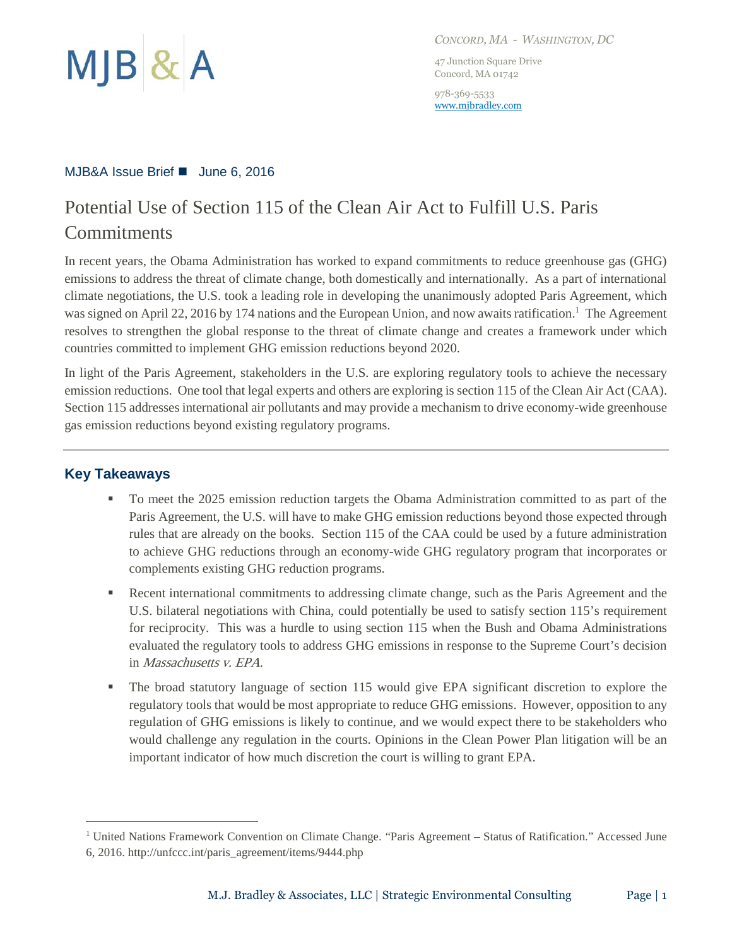

*CONCORD, MA - WASHINGTON, DC*

47 Junction Square Drive Concord, MA 01742

978-369-5533 [www.mjbradley.com](http://www.mjbradley.com/)

#### MJB&A Issue Brief ■ June 6, 2016

# Potential Use of Section 115 of the Clean Air Act to Fulfill U.S. Paris **Commitments**

In recent years, the Obama Administration has worked to expand commitments to reduce greenhouse gas (GHG) emissions to address the threat of climate change, both domestically and internationally. As a part of international climate negotiations, the U.S. took a leading role in developing the unanimously adopted Paris Agreement, which was signed on April 22, 2016 by 174 nations and the European Union, and now awaits ratification.<sup>1</sup> The Agreement resolves to strengthen the global response to the threat of climate change and creates a framework under which countries committed to implement GHG emission reductions beyond 2020.

In light of the Paris Agreement, stakeholders in the U.S. are exploring regulatory tools to achieve the necessary emission reductions. One tool that legal experts and others are exploring is section 115 of the Clean Air Act (CAA). Section 115 addresses international air pollutants and may provide a mechanism to drive economy-wide greenhouse gas emission reductions beyond existing regulatory programs.

## **Key Takeaways**

 $\overline{a}$ 

- To meet the 2025 emission reduction targets the Obama Administration committed to as part of the Paris Agreement, the U.S. will have to make GHG emission reductions beyond those expected through rules that are already on the books. Section 115 of the CAA could be used by a future administration to achieve GHG reductions through an economy-wide GHG regulatory program that incorporates or complements existing GHG reduction programs.
- Recent international commitments to addressing climate change, such as the Paris Agreement and the U.S. bilateral negotiations with China, could potentially be used to satisfy section 115's requirement for reciprocity. This was a hurdle to using section 115 when the Bush and Obama Administrations evaluated the regulatory tools to address GHG emissions in response to the Supreme Court's decision in Massachusetts v. EPA.
- The broad statutory language of section 115 would give EPA significant discretion to explore the regulatory tools that would be most appropriate to reduce GHG emissions. However, opposition to any regulation of GHG emissions is likely to continue, and we would expect there to be stakeholders who would challenge any regulation in the courts. Opinions in the Clean Power Plan litigation will be an important indicator of how much discretion the court is willing to grant EPA.

<sup>1</sup> United Nations Framework Convention on Climate Change. "Paris Agreement – Status of Ratification." Accessed June 6, 2016. http://unfccc.int/paris\_agreement/items/9444.php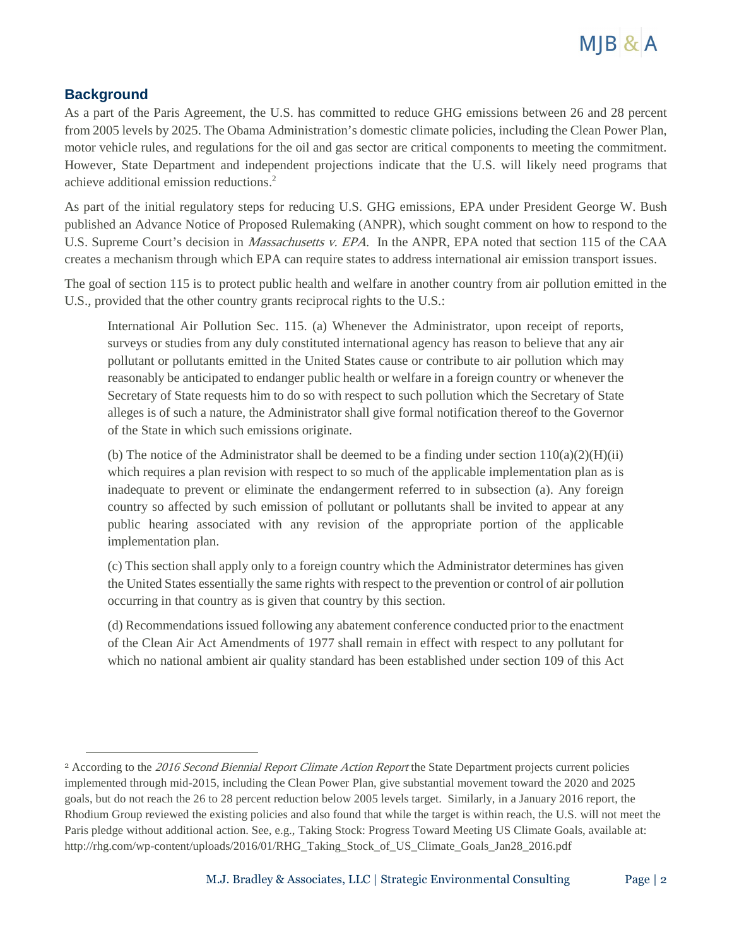

## **Background**

 $\overline{a}$ 

As a part of the Paris Agreement, the U.S. has committed to reduce GHG emissions between 26 and 28 percent from 2005 levels by 2025. The Obama Administration's domestic climate policies, including the Clean Power Plan, motor vehicle rules, and regulations for the oil and gas sector are critical components to meeting the commitment. However, State Department and independent projections indicate that the U.S. will likely need programs that achieve additional emission reductions. 2

As part of the initial regulatory steps for reducing U.S. GHG emissions, EPA under President George W. Bush published an Advance Notice of Proposed Rulemaking (ANPR), which sought comment on how to respond to the U.S. Supreme Court's decision in *Massachusetts v. EPA*. In the ANPR, EPA noted that section 115 of the CAA creates a mechanism through which EPA can require states to address international air emission transport issues.

The goal of section 115 is to protect public health and welfare in another country from air pollution emitted in the U.S., provided that the other country grants reciprocal rights to the U.S.:

International Air Pollution Sec. 115. (a) Whenever the Administrator, upon receipt of reports, surveys or studies from any duly constituted international agency has reason to believe that any air pollutant or pollutants emitted in the United States cause or contribute to air pollution which may reasonably be anticipated to endanger public health or welfare in a foreign country or whenever the Secretary of State requests him to do so with respect to such pollution which the Secretary of State alleges is of such a nature, the Administrator shall give formal notification thereof to the Governor of the State in which such emissions originate.

(b) The notice of the Administrator shall be deemed to be a finding under section  $110(a)(2)(H)(ii)$ which requires a plan revision with respect to so much of the applicable implementation plan as is inadequate to prevent or eliminate the endangerment referred to in subsection (a). Any foreign country so affected by such emission of pollutant or pollutants shall be invited to appear at any public hearing associated with any revision of the appropriate portion of the applicable implementation plan.

(c) This section shall apply only to a foreign country which the Administrator determines has given the United States essentially the same rights with respect to the prevention or control of air pollution occurring in that country as is given that country by this section.

(d) Recommendations issued following any abatement conference conducted prior to the enactment of the Clean Air Act Amendments of 1977 shall remain in effect with respect to any pollutant for which no national ambient air quality standard has been established under section 109 of this Act

<sup>&</sup>lt;sup>2</sup> According to the 2016 Second Biennial Report Climate Action Report the State Department projects current policies implemented through mid-2015, including the Clean Power Plan, give substantial movement toward the 2020 and 2025 goals, but do not reach the 26 to 28 percent reduction below 2005 levels target. Similarly, in a January 2016 report, the Rhodium Group reviewed the existing policies and also found that while the target is within reach, the U.S. will not meet the Paris pledge without additional action. See, e.g., Taking Stock: Progress Toward Meeting US Climate Goals, available at: http://rhg.com/wp-content/uploads/2016/01/RHG\_Taking\_Stock\_of\_US\_Climate\_Goals\_Jan28\_2016.pdf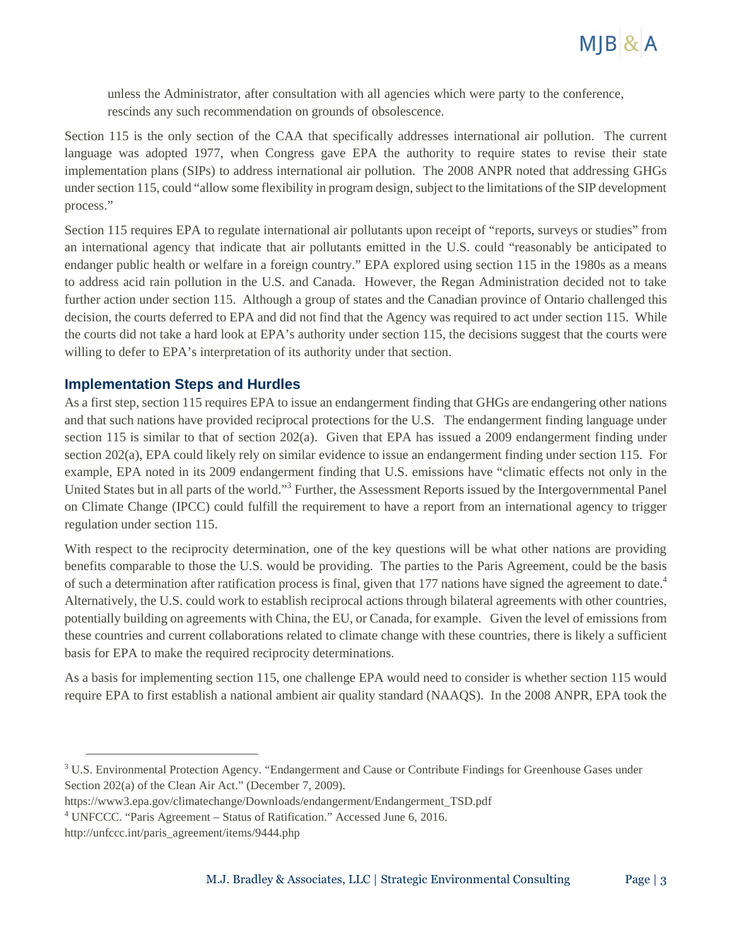

unless the Administrator, after consultation with all agencies which were party to the conference, rescinds any such recommendation on grounds of obsolescence.

Section 115 is the only section of the CAA that specifically addresses international air pollution. The current language was adopted 1977, when Congress gave EPA the authority to require states to revise their state implementation plans (SIPs) to address international air pollution. The 2008 ANPR noted that addressing GHGs under section 115, could "allow some flexibility in program design, subject to the limitations of the SIP development process."

Section 115 requires EPA to regulate international air pollutants upon receipt of "reports, surveys or studies" from an international agency that indicate that air pollutants emitted in the U.S. could "reasonably be anticipated to endanger public health or welfare in a foreign country." EPA explored using section 115 in the 1980s as a means to address acid rain pollution in the U.S. and Canada. However, the Regan Administration decided not to take further action under section 115. Although a group of states and the Canadian province of Ontario challenged this decision, the courts deferred to EPA and did not find that the Agency was required to act under section 115. While the courts did not take a hard look at EPA's authority under section 115, the decisions suggest that the courts were willing to defer to EPA's interpretation of its authority under that section.

### **Implementation Steps and Hurdles**

As a first step, section 115 requires EPA to issue an endangerment finding that GHGs are endangering other nations and that such nations have provided reciprocal protections for the U.S. The endangerment finding language under section 115 is similar to that of section 202(a). Given that EPA has issued a 2009 endangerment finding under section 202(a), EPA could likely rely on similar evidence to issue an endangerment finding under section 115. For example, EPA noted in its 2009 endangerment finding that U.S. emissions have "climatic effects not only in the United States but in all parts of the world."<sup>3</sup> Further, the Assessment Reports issued by the Intergovernmental Panel on Climate Change (IPCC) could fulfill the requirement to have a report from an international agency to trigger regulation under section 115.

With respect to the reciprocity determination, one of the key questions will be what other nations are providing benefits comparable to those the U.S. would be providing. The parties to the Paris Agreement, could be the basis of such a determination after ratification process is final, given that 177 nations have signed the agreement to date.<sup>4</sup> Alternatively, the U.S. could work to establish reciprocal actions through bilateral agreements with other countries, potentially building on agreements with China, the EU, or Canada, for example. Given the level of emissions from these countries and current collaborations related to climate change with these countries, there is likely a sufficient basis for EPA to make the required reciprocity determinations.

As a basis for implementing section 115, one challenge EPA would need to consider is whether section 115 would require EPA to first establish a national ambient air quality standard (NAAQS). In the 2008 ANPR, EPA took the

- https://www3.epa.gov/climatechange/Downloads/endangerment/Endangerment\_TSD.pdf
- <sup>4</sup> UNFCCC. "Paris Agreement Status of Ratification." Accessed June 6, 2016.

 $\overline{a}$ 

<sup>&</sup>lt;sup>3</sup> U.S. Environmental Protection Agency. "Endangerment and Cause or Contribute Findings for Greenhouse Gases under Section 202(a) of the Clean Air Act." (December 7, 2009).

http://unfccc.int/paris\_agreement/items/9444.php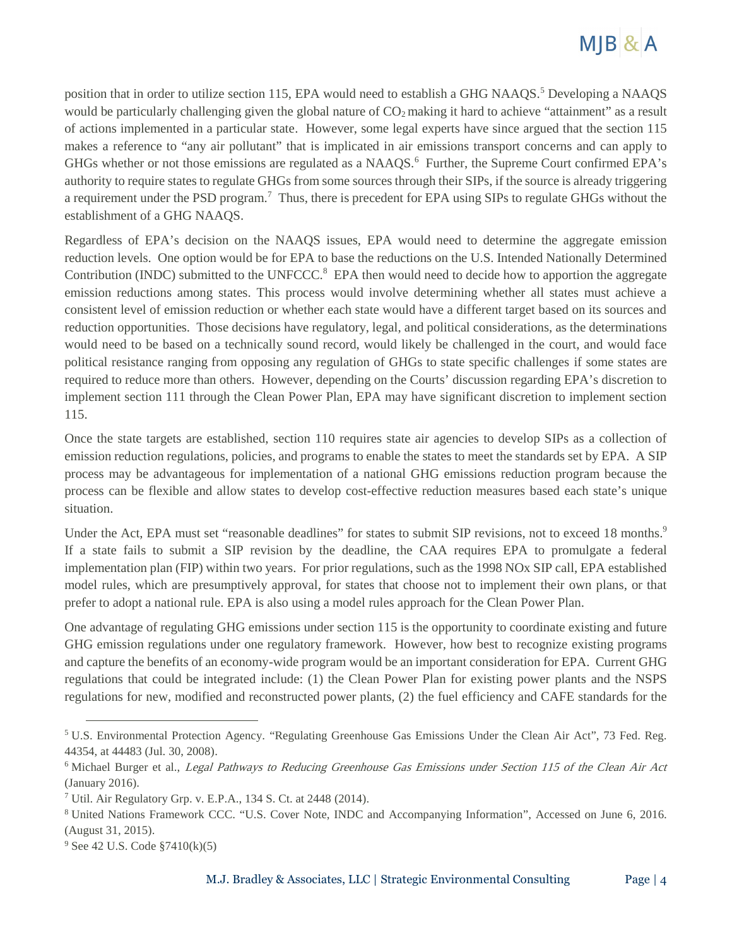

position that in order to utilize section 115, EPA would need to establish a GHG NAAOS.<sup>5</sup> Developing a NAAOS would be particularly challenging given the global nature of  $CO<sub>2</sub>$  making it hard to achieve "attainment" as a result of actions implemented in a particular state. However, some legal experts have since argued that the section 115 makes a reference to "any air pollutant" that is implicated in air emissions transport concerns and can apply to GHGs whether or not those emissions are regulated as a NAAQS. $<sup>6</sup>$  Further, the Supreme Court confirmed EPA's</sup> authority to require states to regulate GHGs from some sources through their SIPs, if the source is already triggering a requirement under the PSD program.<sup>7</sup> Thus, there is precedent for EPA using SIPs to regulate GHGs without the establishment of a GHG NAAQS.

Regardless of EPA's decision on the NAAQS issues, EPA would need to determine the aggregate emission reduction levels. One option would be for EPA to base the reductions on the U.S. Intended Nationally Determined Contribution (INDC) submitted to the UNFCCC.<sup>8</sup> EPA then would need to decide how to apportion the aggregate emission reductions among states. This process would involve determining whether all states must achieve a consistent level of emission reduction or whether each state would have a different target based on its sources and reduction opportunities. Those decisions have regulatory, legal, and political considerations, as the determinations would need to be based on a technically sound record, would likely be challenged in the court, and would face political resistance ranging from opposing any regulation of GHGs to state specific challenges if some states are required to reduce more than others. However, depending on the Courts' discussion regarding EPA's discretion to implement section 111 through the Clean Power Plan, EPA may have significant discretion to implement section 115.

Once the state targets are established, section 110 requires state air agencies to develop SIPs as a collection of emission reduction regulations, policies, and programs to enable the states to meet the standards set by EPA. A SIP process may be advantageous for implementation of a national GHG emissions reduction program because the process can be flexible and allow states to develop cost-effective reduction measures based each state's unique situation.

Under the Act, EPA must set "reasonable deadlines" for states to submit SIP revisions, not to exceed 18 months.<sup>9</sup> If a state fails to submit a SIP revision by the deadline, the CAA requires EPA to promulgate a federal implementation plan (FIP) within two years. For prior regulations, such as the 1998 NOx SIP call, EPA established model rules, which are presumptively approval, for states that choose not to implement their own plans, or that prefer to adopt a national rule. EPA is also using a model rules approach for the Clean Power Plan.

One advantage of regulating GHG emissions under section 115 is the opportunity to coordinate existing and future GHG emission regulations under one regulatory framework. However, how best to recognize existing programs and capture the benefits of an economy-wide program would be an important consideration for EPA. Current GHG regulations that could be integrated include: (1) the Clean Power Plan for existing power plants and the NSPS regulations for new, modified and reconstructed power plants, (2) the fuel efficiency and CAFE standards for the

 $\overline{a}$ 

<sup>5</sup> U.S. Environmental Protection Agency. "Regulating Greenhouse Gas Emissions Under the Clean Air Act", 73 Fed. Reg. 44354, at 44483 (Jul. 30, 2008).

<sup>&</sup>lt;sup>6</sup> Michael Burger et al., *Legal Pathways to Reducing Greenhouse Gas Emissions under Section 115 of the Clean Air Act* (January 2016).

<sup>7</sup> Util. Air Regulatory Grp. v. E.P.A., 134 S. Ct. at 2448 (2014).

<sup>8</sup> United Nations Framework CCC. "U.S. Cover Note, INDC and Accompanying Information", Accessed on June 6, 2016. (August 31, 2015).

<sup>9</sup> See 42 U.S. Code §7410(k)(5)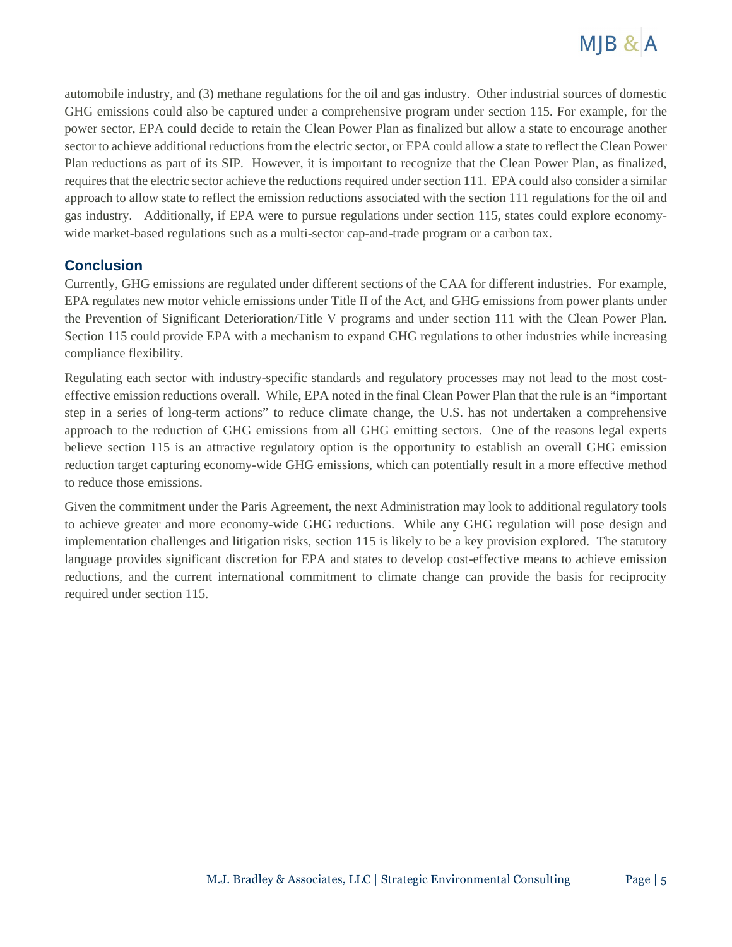

automobile industry, and (3) methane regulations for the oil and gas industry. Other industrial sources of domestic GHG emissions could also be captured under a comprehensive program under section 115. For example, for the power sector, EPA could decide to retain the Clean Power Plan as finalized but allow a state to encourage another sector to achieve additional reductions from the electric sector, or EPA could allow a state to reflect the Clean Power Plan reductions as part of its SIP. However, it is important to recognize that the Clean Power Plan, as finalized, requires that the electric sector achieve the reductions required under section 111. EPA could also consider a similar approach to allow state to reflect the emission reductions associated with the section 111 regulations for the oil and gas industry. Additionally, if EPA were to pursue regulations under section 115, states could explore economywide market-based regulations such as a multi-sector cap-and-trade program or a carbon tax.

### **Conclusion**

Currently, GHG emissions are regulated under different sections of the CAA for different industries. For example, EPA regulates new motor vehicle emissions under Title II of the Act, and GHG emissions from power plants under the Prevention of Significant Deterioration/Title V programs and under section 111 with the Clean Power Plan. Section 115 could provide EPA with a mechanism to expand GHG regulations to other industries while increasing compliance flexibility.

Regulating each sector with industry-specific standards and regulatory processes may not lead to the most costeffective emission reductions overall. While, EPA noted in the final Clean Power Plan that the rule is an "important step in a series of long-term actions" to reduce climate change, the U.S. has not undertaken a comprehensive approach to the reduction of GHG emissions from all GHG emitting sectors. One of the reasons legal experts believe section 115 is an attractive regulatory option is the opportunity to establish an overall GHG emission reduction target capturing economy-wide GHG emissions, which can potentially result in a more effective method to reduce those emissions.

Given the commitment under the Paris Agreement, the next Administration may look to additional regulatory tools to achieve greater and more economy-wide GHG reductions. While any GHG regulation will pose design and implementation challenges and litigation risks, section 115 is likely to be a key provision explored. The statutory language provides significant discretion for EPA and states to develop cost-effective means to achieve emission reductions, and the current international commitment to climate change can provide the basis for reciprocity required under section 115.